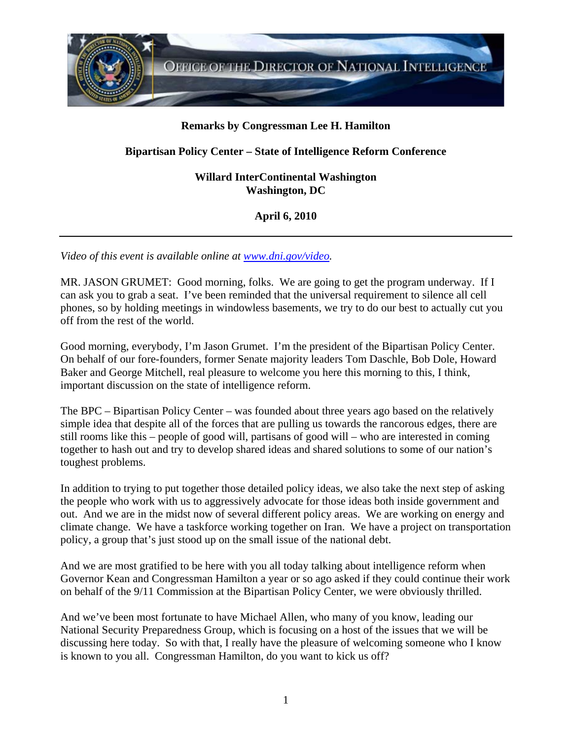

## **Remarks by Congressman Lee H. Hamilton**

## **Bipartisan Policy Center – State of Intelligence Reform Conference**

**Willard InterContinental Washington Washington, DC** 

**April 6, 2010** 

*Video of this event is available online at www.dni.gov/video.* 

MR. JASON GRUMET: Good morning, folks. We are going to get the program underway. If I can ask you to grab a seat. I've been reminded that the universal requirement to silence all cell phones, so by holding meetings in windowless basements, we try to do our best to actually cut you off from the rest of the world.

Good morning, everybody, I'm Jason Grumet. I'm the president of the Bipartisan Policy Center. On behalf of our fore-founders, former Senate majority leaders Tom Daschle, Bob Dole, Howard Baker and George Mitchell, real pleasure to welcome you here this morning to this, I think, important discussion on the state of intelligence reform.

The BPC – Bipartisan Policy Center – was founded about three years ago based on the relatively simple idea that despite all of the forces that are pulling us towards the rancorous edges, there are still rooms like this – people of good will, partisans of good will – who are interested in coming together to hash out and try to develop shared ideas and shared solutions to some of our nation's toughest problems.

In addition to trying to put together those detailed policy ideas, we also take the next step of asking the people who work with us to aggressively advocate for those ideas both inside government and out. And we are in the midst now of several different policy areas. We are working on energy and climate change. We have a taskforce working together on Iran. We have a project on transportation policy, a group that's just stood up on the small issue of the national debt.

And we are most gratified to be here with you all today talking about intelligence reform when Governor Kean and Congressman Hamilton a year or so ago asked if they could continue their work on behalf of the 9/11 Commission at the Bipartisan Policy Center, we were obviously thrilled.

And we've been most fortunate to have Michael Allen, who many of you know, leading our National Security Preparedness Group, which is focusing on a host of the issues that we will be discussing here today. So with that, I really have the pleasure of welcoming someone who I know is known to you all. Congressman Hamilton, do you want to kick us off?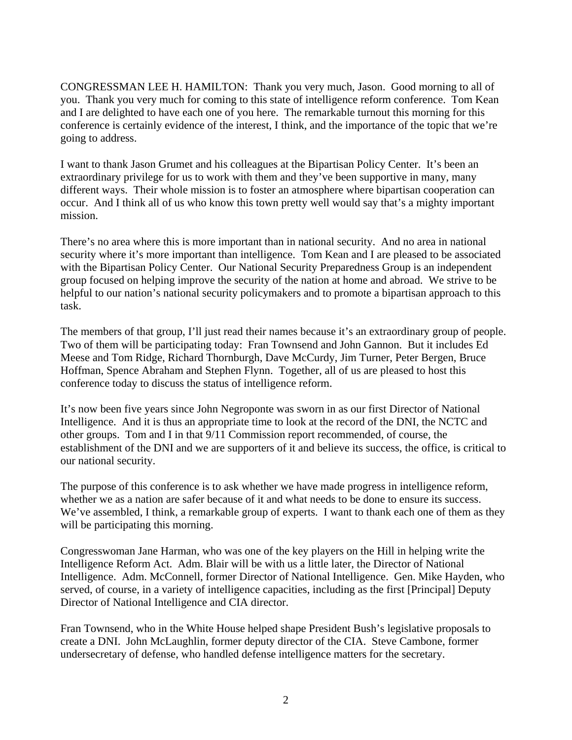CONGRESSMAN LEE H. HAMILTON: Thank you very much, Jason. Good morning to all of you. Thank you very much for coming to this state of intelligence reform conference. Tom Kean and I are delighted to have each one of you here. The remarkable turnout this morning for this conference is certainly evidence of the interest, I think, and the importance of the topic that we're going to address.

I want to thank Jason Grumet and his colleagues at the Bipartisan Policy Center. It's been an extraordinary privilege for us to work with them and they've been supportive in many, many different ways. Their whole mission is to foster an atmosphere where bipartisan cooperation can occur. And I think all of us who know this town pretty well would say that's a mighty important mission.

There's no area where this is more important than in national security. And no area in national security where it's more important than intelligence. Tom Kean and I are pleased to be associated with the Bipartisan Policy Center. Our National Security Preparedness Group is an independent group focused on helping improve the security of the nation at home and abroad. We strive to be helpful to our nation's national security policymakers and to promote a bipartisan approach to this task.

The members of that group, I'll just read their names because it's an extraordinary group of people. Two of them will be participating today: Fran Townsend and John Gannon. But it includes Ed Meese and Tom Ridge, Richard Thornburgh, Dave McCurdy, Jim Turner, Peter Bergen, Bruce Hoffman, Spence Abraham and Stephen Flynn. Together, all of us are pleased to host this conference today to discuss the status of intelligence reform.

It's now been five years since John Negroponte was sworn in as our first Director of National Intelligence. And it is thus an appropriate time to look at the record of the DNI, the NCTC and other groups. Tom and I in that 9/11 Commission report recommended, of course, the establishment of the DNI and we are supporters of it and believe its success, the office, is critical to our national security.

The purpose of this conference is to ask whether we have made progress in intelligence reform, whether we as a nation are safer because of it and what needs to be done to ensure its success. We've assembled, I think, a remarkable group of experts. I want to thank each one of them as they will be participating this morning.

Congresswoman Jane Harman, who was one of the key players on the Hill in helping write the Intelligence Reform Act. Adm. Blair will be with us a little later, the Director of National Intelligence. Adm. McConnell, former Director of National Intelligence. Gen. Mike Hayden, who served, of course, in a variety of intelligence capacities, including as the first [Principal] Deputy Director of National Intelligence and CIA director.

Fran Townsend, who in the White House helped shape President Bush's legislative proposals to create a DNI. John McLaughlin, former deputy director of the CIA. Steve Cambone, former undersecretary of defense, who handled defense intelligence matters for the secretary.